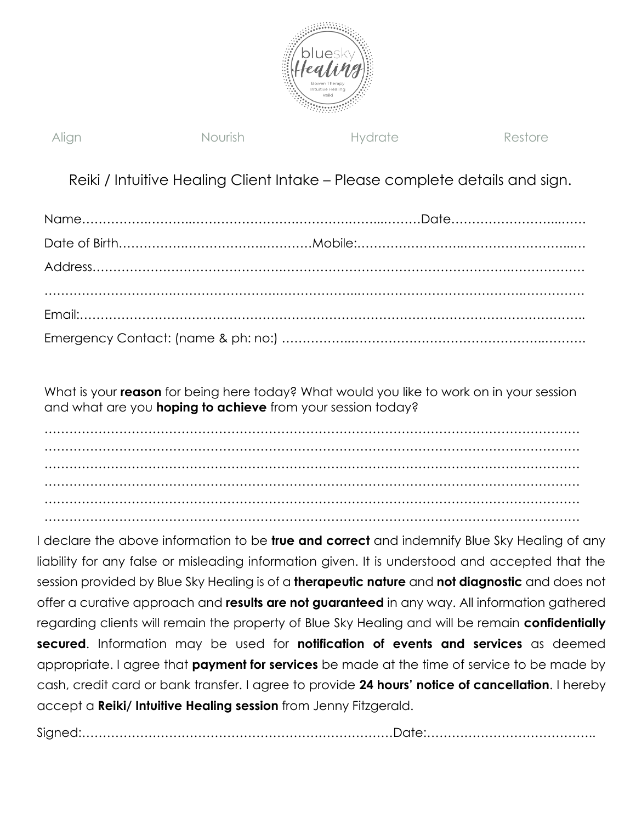

|  | . . | ٠ |  |
|--|-----|---|--|
|  |     |   |  |

Align Nourish Hydrate Restore

## Reiki / Intuitive Healing Client Intake – Please complete details and sign.

What is your **reason** for being here today? What would you like to work on in your session and what are you **hoping to achieve** from your session today?

………………………………………………………………………………………………………………… ………………………………………………………………………………………………………………… ………………………………………………………………………………………………………………… ………………………………………………………………………………………………………………… ………………………………………………………………………………………………………………… …………………………………………………………………………………………………………………

I declare the above information to be **true and correct** and indemnify Blue Sky Healing of any liability for any false or misleading information given. It is understood and accepted that the session provided by Blue Sky Healing is of a **therapeutic nature** and **not diagnostic** and does not offer a curative approach and **results are not guaranteed** in any way. All information gathered regarding clients will remain the property of Blue Sky Healing and will be remain **confidentially secured**. Information may be used for **notification of events and services** as deemed appropriate. I agree that **payment for services** be made at the time of service to be made by cash, credit card or bank transfer. I agree to provide **24 hours' notice of cancellation**. I hereby accept a **Reiki/ Intuitive Healing session** from Jenny Fitzgerald.

Signed:…………………………………………………………………Date:…………………………………..